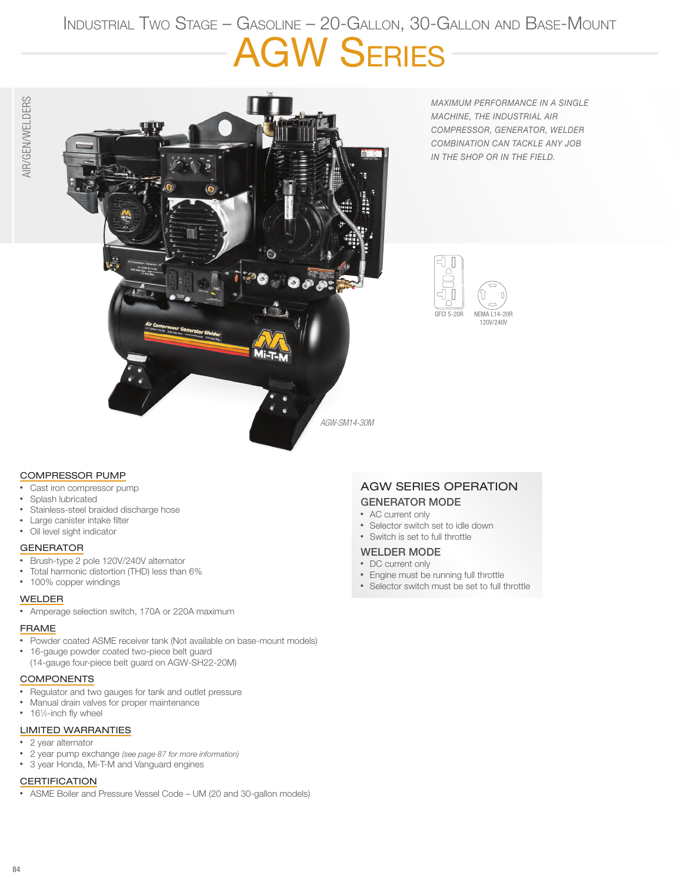# Industrial Two Stage – Gasoline – 20-Gallon, 30-Gallon and Base-Mount AGW Series



*MAXIMUM PERFORMANCE IN A SINGLE MACHINE, THE INDUSTRIAL AIR COMPRESSOR, GENERATOR, WELDER COMBINATION CAN TACKLE ANY JOB IN THE SHOP OR IN THE FIELD.* 



#### COMPRESSOR PUMP

- Cast iron compressor pump
- Splash lubricated
- Stainless-steel braided discharge hose
- Large canister intake filter
- Oil level sight indicator

#### **GENERATOR**

- Brush-type 2 pole 120V/240V alternator
- Total harmonic distortion (THD) less than 6%
- 100% copper windings

#### WELDER

• Amperage selection switch, 170A or 220A maximum

#### FRAME

- Powder coated ASME receiver tank (Not available on base-mount models)
- 16-gauge powder coated two-piece belt guard
- (14-gauge four-piece belt guard on AGW-SH22-20M)

#### COMPONENTS

- Regulator and two gauges for tank and outlet pressure
- Manual drain valves for proper maintenance
- 161/<sub>2</sub>-inch fly wheel

#### LIMITED WARRANTIES

- 2 year alternator
- 2 year pump exchange *(see page 87 for more information)*
- 3 year Honda, Mi-T-M and Vanguard engines

#### **CERTIFICATION**

• ASME Boiler and Pressure Vessel Code – UM (20 and 30-gallon models)

### AGW SERIES OPERATION GENERATOR MODE

- AC current only
- Selector switch set to idle down
- Switch is set to full throttle

#### WELDER MODE

- DC current only
- Engine must be running full throttle
- Selector switch must be set to full throttle